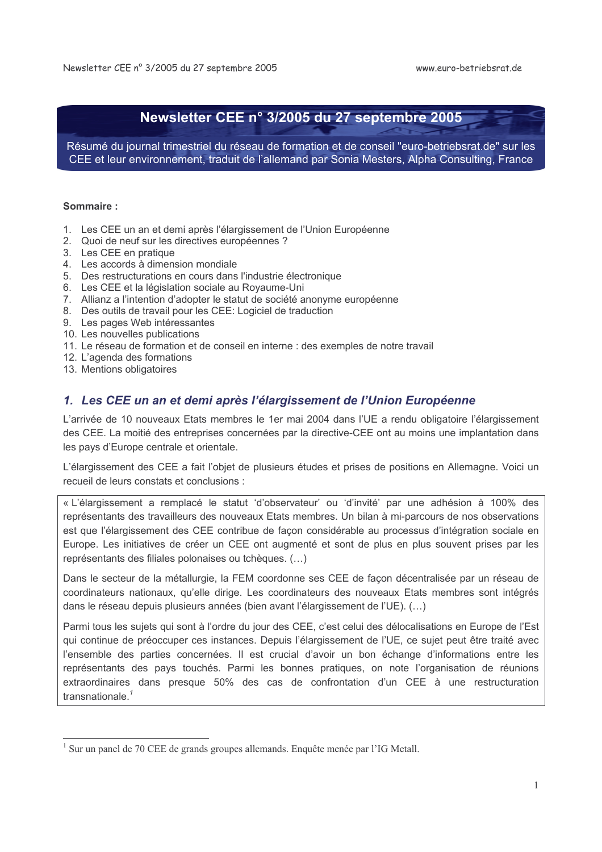# Newsletter CEE n° 3/2005 du 27 septembre 2005

Résumé du journal trimestriel du réseau de formation et de conseil "euro-betriebsrat.de" sur les CEE et leur environnement, traduit de l'allemand par Sonia Mesters, Alpha Consulting, France

#### Sommaire:

- 1. Les CEE un an et demi après l'élargissement de l'Union Européenne
- 2. Quoi de neuf sur les directives européennes ?
- 3. Les CEE en pratique
- 4. Les accords à dimension mondiale
- 5. Des restructurations en cours dans l'industrie électronique
- 6. Les CEE et la législation sociale au Royaume-Uni
- 7. Allianz a l'intention d'adopter le statut de société anonyme européenne
- 8. Des outils de travail pour les CEE: Logiciel de traduction
- 9. Les pages Web intéressantes
- 10. Les nouvelles publications
- 11. Le réseau de formation et de conseil en interne : des exemples de notre travail
- 12. L'agenda des formations
- 13. Mentions obligatoires

# 1. Les CEE un an et demi après l'élargissement de l'Union Européenne

L'arrivée de 10 nouveaux Etats membres le 1er mai 2004 dans l'UE a rendu obligatoire l'élargissement des CEE. La moitié des entreprises concernées par la directive-CEE ont au moins une implantation dans les pays d'Europe centrale et orientale.

L'élargissement des CEE a fait l'objet de plusieurs études et prises de positions en Allemagne. Voici un recueil de leurs constats et conclusions :

« L'élargissement a remplacé le statut 'd'observateur' ou 'd'invité' par une adhésion à 100% des représentants des travailleurs des nouveaux Etats membres. Un bilan à mi-parcours de nos observations est que l'élargissement des CEE contribue de façon considérable au processus d'intégration sociale en Europe. Les initiatives de créer un CEE ont augmenté et sont de plus en plus souvent prises par les représentants des filiales polonaises ou tchèques. (...)

Dans le secteur de la métallurgie, la FEM coordonne ses CEE de façon décentralisée par un réseau de coordinateurs nationaux, qu'elle dirige. Les coordinateurs des nouveaux Etats membres sont intégrés dans le réseau depuis plusieurs années (bien avant l'élargissement de l'UE). (...)

Parmi tous les suiets qui sont à l'ordre du jour des CEE, c'est celui des délocalisations en Europe de l'Est qui continue de préoccuper ces instances. Depuis l'élargissement de l'UE, ce sujet peut être traité avec l'ensemble des parties concernées. Il est crucial d'avoir un bon échange d'informations entre les représentants des pays touchés. Parmi les bonnes pratiques, on note l'organisation de réunions extraordinaires dans presque 50% des cas de confrontation d'un CEE à une restructuration transnationale.<sup>1</sup>

 $<sup>1</sup>$  Sur un panel de 70 CEE de grands groupes allemands. Enquête menée par l'IG Metall.</sup>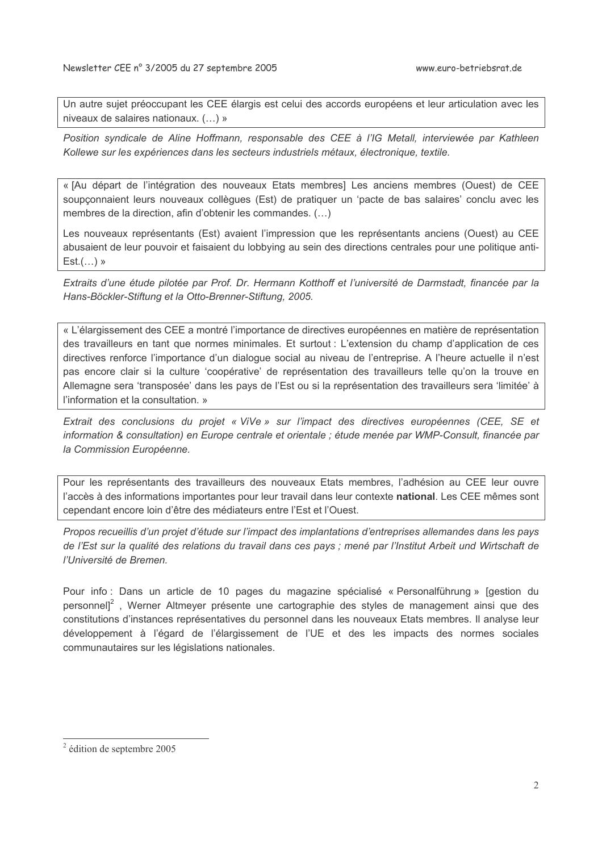Un autre sujet préoccupant les CEE élargis est celui des accords européens et leur articulation avec les niveaux de salaires nationaux. (...) »

Position syndicale de Aline Hoffmann, responsable des CEE à l'IG Metall, interviewée par Kathleen Kollewe sur les expériences dans les secteurs industriels métaux, électronique, textile,

« [Au départ de l'intégration des nouveaux Etats membres] Les anciens membres (Ouest) de CEE soupconnaient leurs nouveaux collègues (Est) de pratiquer un 'pacte de bas salaires' conclu avec les membres de la direction, afin d'obtenir les commandes. (...)

Les nouveaux représentants (Est) avaient l'impression que les représentants anciens (Ouest) au CEE abusaient de leur pouvoir et faisaient du lobbying au sein des directions centrales pour une politique anti- $Est.(\dots)$  »

Extraits d'une étude pilotée par Prof. Dr. Hermann Kotthoff et l'université de Darmstadt, financée par la Hans-Böckler-Stiftung et la Otto-Brenner-Stiftung, 2005.

« L'élargissement des CEE a montré l'importance de directives européennes en matière de représentation des travailleurs en tant que normes minimales. Et surtout : L'extension du champ d'application de ces directives renforce l'importance d'un dialogue social au niveau de l'entreprise. A l'heure actuelle il n'est pas encore clair si la culture 'coopérative' de représentation des travailleurs telle qu'on la trouve en Allemagne sera 'transposée' dans les pays de l'Est ou si la représentation des travailleurs sera 'limitée' à l'information et la consultation. »

Extrait des conclusions du projet « ViVe » sur l'impact des directives européennes (CEE, SE et information & consultation) en Europe centrale et orientale ; étude menée par WMP-Consult, financée par la Commission Européenne.

Pour les représentants des travailleurs des nouveaux Etats membres, l'adhésion au CEE leur ouvre l'accès à des informations importantes pour leur travail dans leur contexte national. Les CEE mêmes sont cependant encore loin d'être des médiateurs entre l'Est et l'Ouest.

Propos recueillis d'un projet d'étude sur l'impact des implantations d'entreprises allemandes dans les pays de l'Est sur la qualité des relations du travail dans ces pays ; mené par l'Institut Arbeit und Wirtschaft de l'Université de Bremen.

Pour info : Dans un article de 10 pages du magazine spécialisé « Personalführung » [gestion du personnell<sup>2</sup>, Werner Altmeyer présente une cartographie des styles de management ainsi que des constitutions d'instances représentatives du personnel dans les nouveaux Etats membres. Il analyse leur développement à l'égard de l'élargissement de l'UE et des les impacts des normes sociales communautaires sur les législations nationales.

 $2$  édition de septembre 2005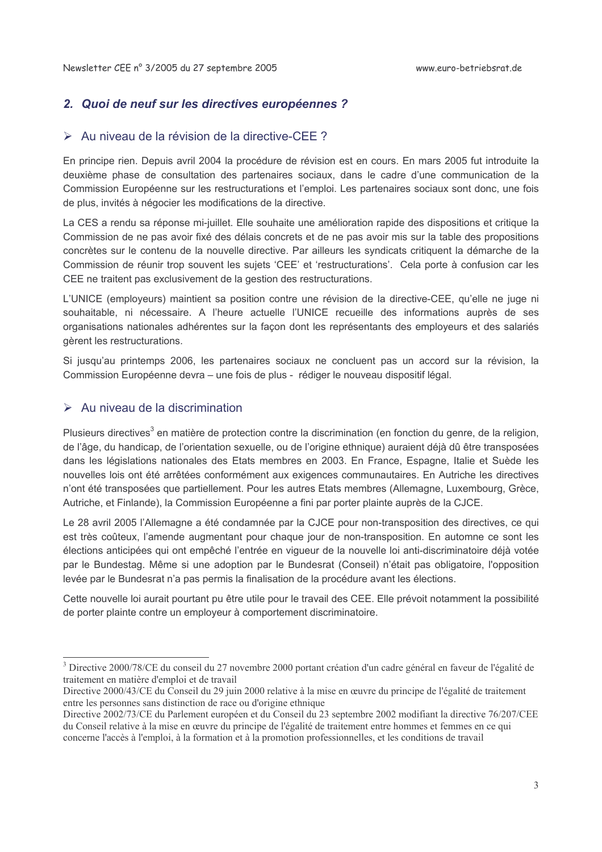## 2. Quoi de neuf sur les directives européennes ?

#### $\triangleright$  Au niveau de la révision de la directive-CEE ?

En principe rien. Depuis avril 2004 la procédure de révision est en cours. En mars 2005 fut introduite la deuxième phase de consultation des partenaires sociaux, dans le cadre d'une communication de la Commission Européenne sur les restructurations et l'emploi. Les partenaires sociaux sont donc, une fois de plus, invités à négocier les modifications de la directive.

La CES a rendu sa réponse mi-juillet. Elle souhaite une amélioration rapide des dispositions et critique la Commission de ne pas avoir fixé des délais concrets et de ne pas avoir mis sur la table des propositions concrètes sur le contenu de la nouvelle directive. Par ailleurs les syndicats critiquent la démarche de la Commission de réunir trop souvent les sujets 'CEE' et 'restructurations'. Cela porte à confusion car les CEE ne traitent pas exclusivement de la gestion des restructurations.

L'UNICE (employeurs) maintient sa position contre une révision de la directive-CEE, qu'elle ne juge ni souhaitable, ni nécessaire. A l'heure actuelle l'UNICE recueille des informations auprès de ses organisations nationales adhérentes sur la façon dont les représentants des employeurs et des salariés gèrent les restructurations.

Si jusqu'au printemps 2006, les partenaires sociaux ne concluent pas un accord sur la révision, la Commission Européenne devra – une fois de plus - rédiger le nouveau dispositif légal.

#### $\triangleright$  Au niveau de la discrimination

Plusieurs directives<sup>3</sup> en matière de protection contre la discrimination (en fonction du genre, de la religion, de l'âge, du handicap, de l'orientation sexuelle, ou de l'origine ethnique) auraient déjà dû être transposées dans les législations nationales des Etats membres en 2003. En France, Espagne, Italie et Suède les nouvelles lois ont été arrêtées conformément aux exigences communautaires. En Autriche les directives n'ont été transposées que partiellement. Pour les autres Etats membres (Allemagne, Luxembourg, Grèce, Autriche, et Finlande), la Commission Européenne a fini par porter plainte auprès de la CJCE.

Le 28 avril 2005 l'Allemagne a été condamnée par la CJCE pour non-transposition des directives, ce qui est très coûteux, l'amende augmentant pour chaque jour de non-transposition. En automne ce sont les élections anticipées qui ont empêché l'entrée en vigueur de la nouvelle loi anti-discriminatoire déjà votée par le Bundestag. Même si une adoption par le Bundesrat (Conseil) n'était pas obligatoire, l'opposition levée par le Bundesrat n'a pas permis la finalisation de la procédure avant les élections.

Cette nouvelle loi aurait pourtant pu être utile pour le travail des CEE. Elle prévoit notamment la possibilité de porter plainte contre un employeur à comportement discriminatoire.

<sup>&</sup>lt;sup>3</sup> Directive 2000/78/CE du conseil du 27 novembre 2000 portant création d'un cadre général en faveur de l'égalité de traitement en matière d'emploi et de travail

Directive 2000/43/CE du Conseil du 29 juin 2000 relative à la mise en œuvre du principe de l'égalité de traitement entre les personnes sans distinction de race ou d'origine ethnique

Directive 2002/73/CE du Parlement européen et du Conseil du 23 septembre 2002 modifiant la directive 76/207/CEE du Conseil relative à la mise en œuvre du principe de l'égalité de traitement entre hommes et femmes en ce qui concerne l'accès à l'emploi, à la formation et à la promotion professionnelles, et les conditions de travail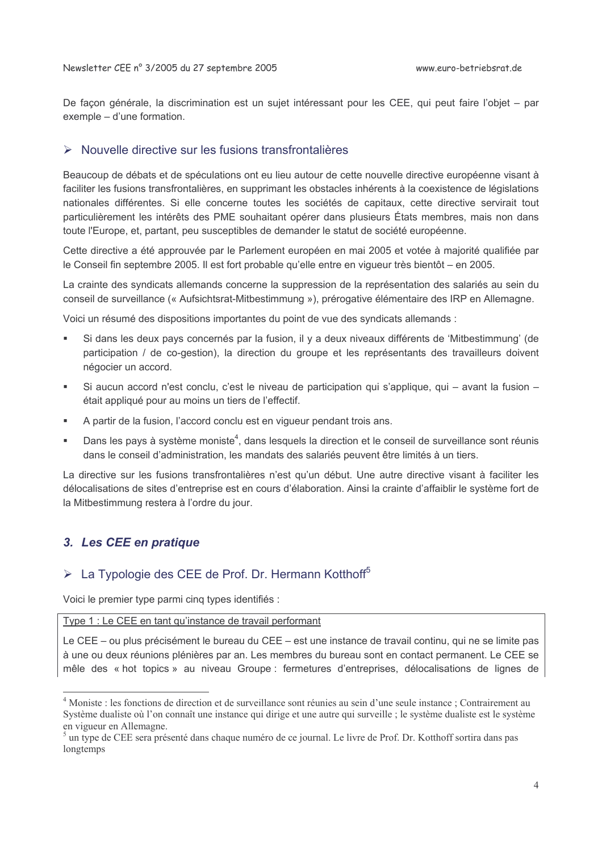De façon générale, la discrimination est un sujet intéressant pour les CEE, qui peut faire l'objet - par exemple - d'une formation.

## > Nouvelle directive sur les fusions transfrontalières

Beaucoup de débats et de spéculations ont eu lieu autour de cette nouvelle directive européenne visant à faciliter les fusions transfrontalières, en supprimant les obstacles inhérents à la coexistence de législations nationales différentes. Si elle concerne toutes les sociétés de capitaux, cette directive servirait tout particulièrement les intérêts des PME souhaitant opérer dans plusieurs États membres, mais non dans toute l'Europe, et, partant, peu susceptibles de demander le statut de société européenne.

Cette directive a été approuvée par le Parlement européen en mai 2005 et votée à majorité qualifiée par le Conseil fin septembre 2005. Il est fort probable qu'elle entre en vigueur très bientôt – en 2005.

La crainte des syndicats allemands concerne la suppression de la représentation des salariés au sein du conseil de surveillance (« Aufsichtsrat-Mitbestimmung »), prérogative élémentaire des IRP en Allemagne.

Voici un résumé des dispositions importantes du point de vue des syndicats allemands :

- Si dans les deux pays concernés par la fusion, il y a deux niveaux différents de 'Mitbestimmung' (de participation / de co-gestion), la direction du groupe et les représentants des travailleurs doivent négocier un accord.
- Si aucun accord n'est conclu, c'est le niveau de participation qui s'applique, qui avant la fusion était appliqué pour au moins un tiers de l'effectif.
- A partir de la fusion, l'accord conclu est en viqueur pendant trois ans.
- Dans les pays à système moniste<sup>4</sup>, dans lesquels la direction et le conseil de surveillance sont réunis dans le conseil d'administration, les mandats des salariés peuvent être limités à un tiers.

La directive sur les fusions transfrontalières n'est qu'un début. Une autre directive visant à faciliter les délocalisations de sites d'entreprise est en cours d'élaboration. Ainsi la crainte d'affaiblir le système fort de la Mitbestimmung restera à l'ordre du jour.

# 3. Les CEE en pratique

# > La Typologie des CEE de Prof. Dr. Hermann Kotthoff<sup>5</sup>

Voici le premier type parmi cinq types identifiés :

Type 1 : Le CEE en tant qu'instance de travail performant

Le CEE – ou plus précisément le bureau du CEE – est une instance de travail continu, qui ne se limite pas à une ou deux réunions plénières par an. Les membres du bureau sont en contact permanent. Le CEE se mêle des « hot topics » au niveau Groupe : fermetures d'entreprises, délocalisations de lignes de

<sup>&</sup>lt;sup>4</sup> Moniste : les fonctions de direction et de surveillance sont réunies au sein d'une seule instance ; Contrairement au Système dualiste où l'on connaît une instance qui dirige et une autre qui surveille ; le système dualiste est le système en vigueur en Allemagne.

<sup>&</sup>lt;sup>5</sup> un type de CEE sera présenté dans chaque numéro de ce journal. Le livre de Prof. Dr. Kotthoff sortira dans pas longtemps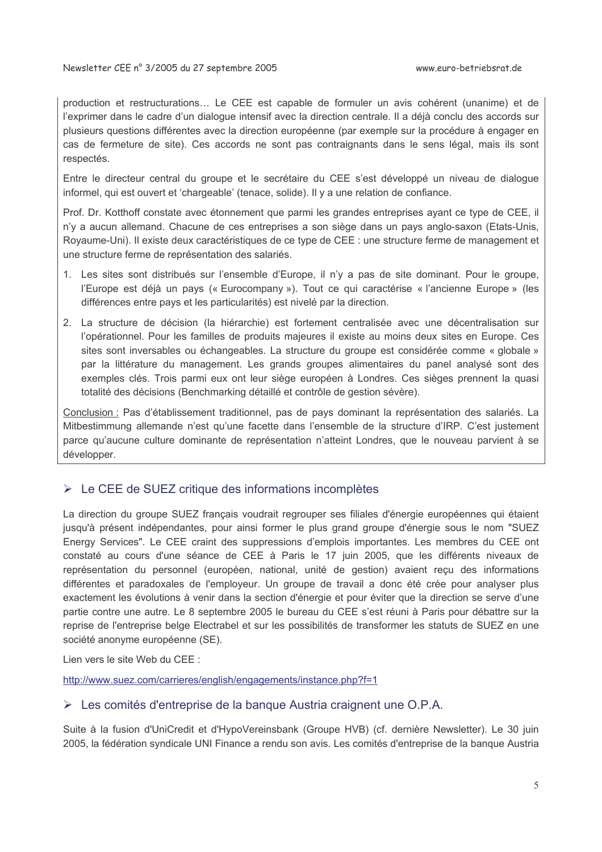production et restructurations... Le CEE est capable de formuler un avis cohérent (unanime) et de l'exprimer dans le cadre d'un dialogue intensif avec la direction centrale. Il a déjà conclu des accords sur plusieurs questions différentes avec la direction européenne (par exemple sur la procédure à engager en cas de fermeture de site). Ces accords ne sont pas contraignants dans le sens légal, mais ils sont respectés.

Entre le directeur central du groupe et le secrétaire du CEE s'est développé un niveau de dialoque informel, qui est ouvert et 'chargeable' (tenace, solide). Il y a une relation de confiance.

Prof. Dr. Kotthoff constate avec étonnement que parmi les grandes entreprises ayant ce type de CEE, il n'y a aucun allemand. Chacune de ces entreprises a son siège dans un pays anglo-saxon (Etats-Unis, Royaume-Uni). Il existe deux caractéristiques de ce type de CEE : une structure ferme de management et une structure ferme de représentation des salariés.

- 1. Les sites sont distribués sur l'ensemble d'Europe, il n'y a pas de site dominant. Pour le groupe, l'Europe est déjà un pays (« Eurocompany »). Tout ce qui caractérise « l'ancienne Europe » (les différences entre pays et les particularités) est nivelé par la direction.
- 2. La structure de décision (la hiérarchie) est fortement centralisée avec une décentralisation sur l'opérationnel. Pour les familles de produits majeures il existe au moins deux sites en Europe. Ces sites sont inversables ou échangeables. La structure du groupe est considérée comme « globale » par la littérature du management. Les grands groupes alimentaires du panel analysé sont des exemples clés. Trois parmi eux ont leur siège européen à Londres. Ces sièges prennent la quasi totalité des décisions (Benchmarking détaillé et contrôle de gestion sévère).

Conclusion : Pas d'établissement traditionnel, pas de pays dominant la représentation des salariés. La Mitbestimmung allemande n'est qu'une facette dans l'ensemble de la structure d'IRP. C'est justement parce qu'aucune culture dominante de représentation n'atteint Londres, que le nouveau parvient à se développer.

### $\triangleright$  Le CEE de SUEZ critique des informations incomplètes

La direction du groupe SUEZ français voudrait regrouper ses filiales d'énergie européennes qui étaient jusqu'à présent indépendantes, pour ainsi former le plus grand groupe d'énergie sous le nom "SUEZ Energy Services". Le CEE craint des suppressions d'emplois importantes. Les membres du CEE ont constaté au cours d'une séance de CEE à Paris le 17 juin 2005, que les différents niveaux de représentation du personnel (européen, national, unité de gestion) avaient reçu des informations différentes et paradoxales de l'employeur. Un groupe de travail a donc été crée pour analyser plus exactement les évolutions à venir dans la section d'énergie et pour éviter que la direction se serve d'une partie contre une autre. Le 8 septembre 2005 le bureau du CEE s'est réuni à Paris pour débattre sur la reprise de l'entreprise belge Electrabel et sur les possibilités de transformer les statuts de SUEZ en une société anonyme européenne (SE).

Lien vers le site Web du CEE :

http://www.suez.com/carrieres/english/engagements/instance.php?f=1

#### $\triangleright$  Les comités d'entreprise de la banque Austria craignent une O.P.A.

Suite à la fusion d'UniCredit et d'HypoVereinsbank (Groupe HVB) (cf. dernière Newsletter). Le 30 juin 2005, la fédération syndicale UNI Finance a rendu son avis. Les comités d'entreprise de la banque Austria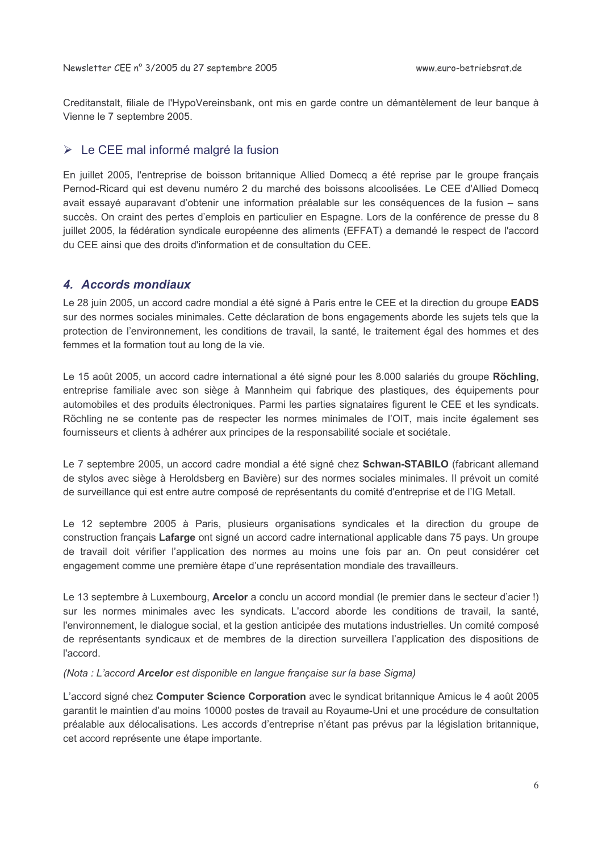Creditanstalt, filiale de l'HypoVereinsbank, ont mis en garde contre un démantèlement de leur banque à Vienne le 7 septembre 2005.

# > Le CEE mal informé malgré la fusion

En juillet 2005, l'entreprise de boisson britannique Allied Domecq a été reprise par le groupe français Pernod-Ricard qui est devenu numéro 2 du marché des boissons alcoolisées. Le CEE d'Allied Domecq avait essayé auparavant d'obtenir une information préalable sur les conséquences de la fusion – sans succès. On craint des pertes d'emplois en particulier en Espagne. Lors de la conférence de presse du 8 juillet 2005, la fédération syndicale européenne des aliments (EFFAT) a demandé le respect de l'accord du CEE ainsi que des droits d'information et de consultation du CEE.

# 4. Accords mondiaux

Le 28 juin 2005, un accord cadre mondial a été signé à Paris entre le CEE et la direction du groupe EADS sur des normes sociales minimales. Cette déclaration de bons engagements aborde les sujets tels que la protection de l'environnement, les conditions de travail, la santé, le traitement égal des hommes et des femmes et la formation tout au long de la vie.

Le 15 août 2005, un accord cadre international a été signé pour les 8.000 salariés du groupe Röchling, entreprise familiale avec son siège à Mannheim qui fabrique des plastiques, des équipements pour automobiles et des produits électroniques. Parmi les parties signataires figurent le CEE et les syndicats. Röchling ne se contente pas de respecter les normes minimales de l'OIT, mais incite également ses fournisseurs et clients à adhérer aux principes de la responsabilité sociale et sociétale.

Le 7 septembre 2005, un accord cadre mondial a été signé chez Schwan-STABILO (fabricant allemand de stylos avec siège à Heroldsberg en Bavière) sur des normes sociales minimales. Il prévoit un comité de surveillance qui est entre autre composé de représentants du comité d'entreprise et de l'IG Metall.

Le 12 septembre 2005 à Paris, plusieurs organisations syndicales et la direction du groupe de construction français Lafarge ont signé un accord cadre international applicable dans 75 pays. Un groupe de travail doit vérifier l'application des normes au moins une fois par an. On peut considérer cet engagement comme une première étape d'une représentation mondiale des travailleurs.

Le 13 septembre à Luxembourg, Arcelor a conclu un accord mondial (le premier dans le secteur d'acier !) sur les normes minimales avec les syndicats. L'accord aborde les conditions de travail, la santé, l'environnement, le dialogue social, et la gestion anticipée des mutations industrielles. Un comité composé de représentants syndicaux et de membres de la direction surveillera l'application des dispositions de l'accord.

(Nota : L'accord Arcelor est disponible en langue française sur la base Sigma)

L'accord signé chez Computer Science Corporation avec le syndicat britannique Amicus le 4 août 2005 garantit le maintien d'au moins 10000 postes de travail au Royaume-Uni et une procédure de consultation préalable aux délocalisations. Les accords d'entreprise n'étant pas prévus par la législation britannique, cet accord représente une étape importante.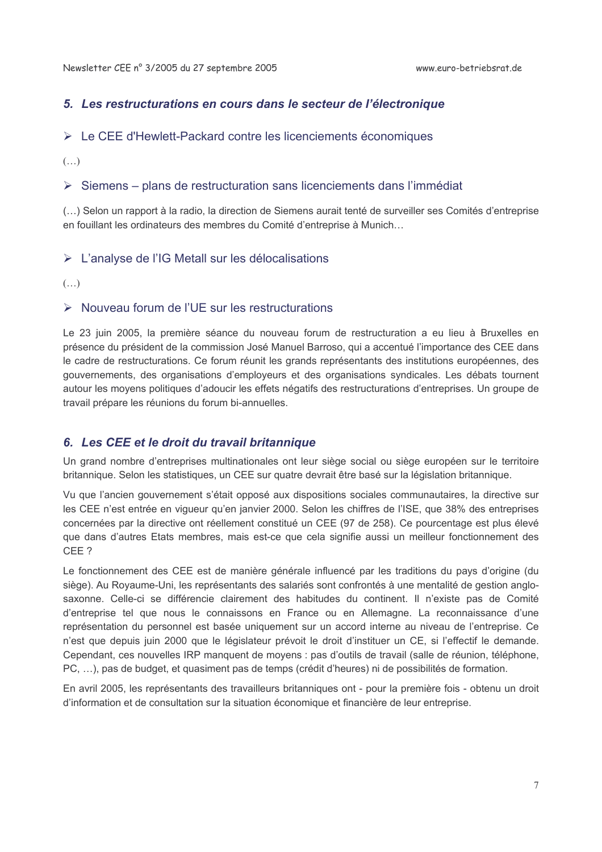# 5. Les restructurations en cours dans le secteur de l'électronique

## $\triangleright$  Le CEE d'Hewlett-Packard contre les licenciements économiques

 $(\ldots)$ 

## $\triangleright$  Siemens – plans de restructuration sans licenciements dans l'immédiat

(...) Selon un rapport à la radio, la direction de Siemens aurait tenté de surveiller ses Comités d'entreprise en fouillant les ordinateurs des membres du Comité d'entreprise à Munich...

# > L'analyse de l'IG Metall sur les délocalisations

 $(\ldots)$ 

# $\triangleright$  Nouveau forum de l'UE sur les restructurations

Le 23 juin 2005, la première séance du nouveau forum de restructuration a eu lieu à Bruxelles en présence du président de la commission José Manuel Barroso, qui a accentué l'importance des CEE dans le cadre de restructurations. Ce forum réunit les grands représentants des institutions européennes, des gouvernements, des organisations d'employeurs et des organisations syndicales. Les débats tournent autour les moyens politiques d'adoucir les effets négatifs des restructurations d'entreprises. Un groupe de travail prépare les réunions du forum bi-annuelles.

# 6. Les CEE et le droit du travail britannique

Un grand nombre d'entreprises multinationales ont leur siège social ou siège européen sur le territoire britannique. Selon les statistiques, un CEE sur quatre devrait être basé sur la législation britannique.

Vu que l'ancien gouvernement s'était opposé aux dispositions sociales communautaires, la directive sur les CEE n'est entrée en vigueur qu'en janvier 2000. Selon les chiffres de l'ISE, que 38% des entreprises concernées par la directive ont réellement constitué un CEE (97 de 258). Ce pourcentage est plus élevé que dans d'autres Etats membres, mais est-ce que cela signifie aussi un meilleur fonctionnement des CEE ?

Le fonctionnement des CEE est de manière générale influencé par les traditions du pays d'origine (du siège). Au Royaume-Uni, les représentants des salariés sont confrontés à une mentalité de gestion anglosaxonne. Celle-ci se différencie clairement des habitudes du continent. Il n'existe pas de Comité d'entreprise tel que nous le connaissons en France ou en Allemagne. La reconnaissance d'une représentation du personnel est basée uniquement sur un accord interne au niveau de l'entreprise. Ce n'est que depuis juin 2000 que le législateur prévoit le droit d'instituer un CE, si l'effectif le demande. Cependant, ces nouvelles IRP manquent de moyens : pas d'outils de travail (salle de réunion, téléphone, PC, ...), pas de budget, et quasiment pas de temps (crédit d'heures) ni de possibilités de formation.

En avril 2005, les représentants des travailleurs britanniques ont - pour la première fois - obtenu un droit d'information et de consultation sur la situation économique et financière de leur entreprise.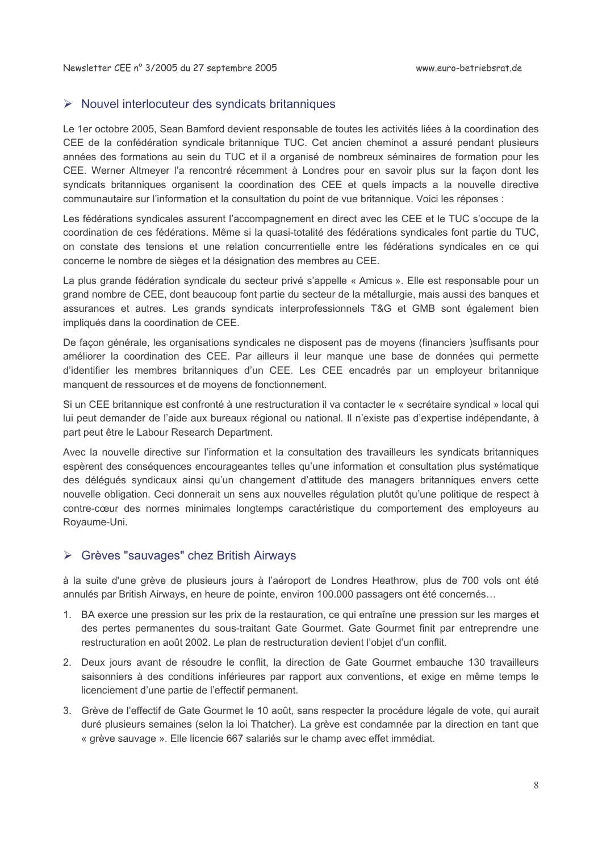#### $\triangleright$  Nouvel interlocuteur des syndicats britanniques

Le 1er octobre 2005, Sean Bamford devient responsable de toutes les activités liées à la coordination des CEE de la confédération syndicale britannique TUC. Cet ancien cheminot a assuré pendant plusieurs années des formations au sein du TUC et il a organisé de nombreux séminaires de formation pour les CEE. Werner Altmeyer l'a rencontré récemment à Londres pour en savoir plus sur la façon dont les syndicats britanniques organisent la coordination des CEE et quels impacts a la nouvelle directive communautaire sur l'information et la consultation du point de vue britannique. Voici les réponses :

Les fédérations syndicales assurent l'accompagnement en direct avec les CEE et le TUC s'occupe de la coordination de ces fédérations. Même si la quasi-totalité des fédérations syndicales font partie du TUC, on constate des tensions et une relation concurrentielle entre les fédérations syndicales en ce qui concerne le nombre de sièges et la désignation des membres au CEE.

La plus grande fédération syndicale du secteur privé s'appelle « Amicus ». Elle est responsable pour un grand nombre de CEE, dont beaucoup font partie du secteur de la métallurgie, mais aussi des banques et assurances et autres. Les grands syndicats interprofessionnels T&G et GMB sont également bien impliqués dans la coordination de CEE.

De façon générale, les organisations syndicales ne disposent pas de moyens (financiers )suffisants pour améliorer la coordination des CEE. Par ailleurs il leur manque une base de données qui permette d'identifier les membres britanniques d'un CEE. Les CEE encadrés par un employeur britannique manquent de ressources et de moyens de fonctionnement.

Si un CEE britannique est confronté à une restructuration il va contacter le « secrétaire syndical » local qui lui peut demander de l'aide aux bureaux régional ou national. Il n'existe pas d'expertise indépendante, à part peut être le Labour Research Department.

Avec la nouvelle directive sur l'information et la consultation des travailleurs les syndicats britanniques espèrent des conséquences encourageantes telles qu'une information et consultation plus systématique des délégués syndicaux ainsi qu'un changement d'attitude des managers britanniques envers cette nouvelle obligation. Ceci donnerait un sens aux nouvelles régulation plutôt qu'une politique de respect à contre-cœur des normes minimales longtemps caractéristique du comportement des employeurs au Royaume-Uni.

#### > Grèves "sauvages" chez British Airways

à la suite d'une grève de plusieurs jours à l'aéroport de Londres Heathrow, plus de 700 vols ont été annulés par British Airways, en heure de pointe, environ 100.000 passagers ont été concernés...

- 1. BA exerce une pression sur les prix de la restauration, ce qui entraîne une pression sur les marges et des pertes permanentes du sous-traitant Gate Gourmet. Gate Gourmet finit par entreprendre une restructuration en août 2002. Le plan de restructuration devient l'objet d'un conflit.
- 2. Deux jours avant de résoudre le conflit, la direction de Gate Gourmet embauche 130 travailleurs saisonniers à des conditions inférieures par rapport aux conventions, et exige en même temps le licenciement d'une partie de l'effectif permanent.
- 3. Grève de l'effectif de Gate Gourmet le 10 août, sans respecter la procédure légale de vote, qui aurait duré plusieurs semaines (selon la loi Thatcher). La grève est condamnée par la direction en tant que « grève sauvage ». Elle licencie 667 salariés sur le champ avec effet immédiat.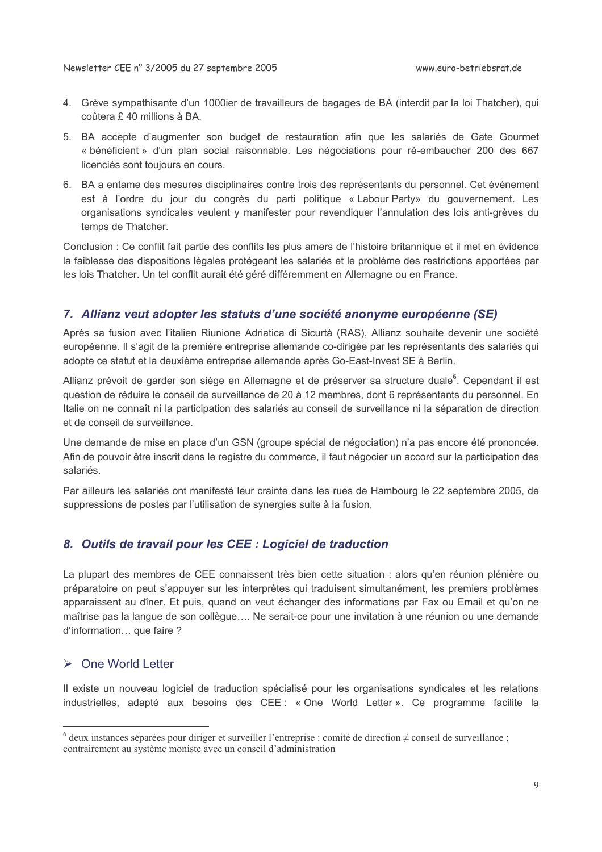- 4. Grève sympathisante d'un 1000ier de travailleurs de bagages de BA (interdit par la loi Thatcher), qui coûtera £40 millions à BA.
- 5. BA accepte d'augmenter son budget de restauration afin que les salariés de Gate Gourmet « bénéficient » d'un plan social raisonnable. Les négociations pour ré-embaucher 200 des 667 licenciés sont toujours en cours.
- 6. BA a entame des mesures disciplinaires contre trois des représentants du personnel. Cet événement est à l'ordre du jour du congrès du parti politique « Labour Party» du gouvernement. Les organisations syndicales veulent y manifester pour revendiquer l'annulation des lois anti-grèves du temps de Thatcher.

Conclusion : Ce conflit fait partie des conflits les plus amers de l'histoire britannique et il met en évidence la faiblesse des dispositions légales protégeant les salariés et le problème des restrictions apportées par les lois Thatcher. Un tel conflit aurait été géré différemment en Allemagne ou en France.

### 7. Allianz veut adopter les statuts d'une société anonyme européenne (SE)

Après sa fusion avec l'italien Riunione Adriatica di Sicurtà (RAS). Allianz souhaite devenir une société européenne. Il s'agit de la première entreprise allemande co-dirigée par les représentants des salariés qui adopte ce statut et la deuxième entreprise allemande après Go-East-Invest SE à Berlin.

Allianz prévoit de garder son siège en Allemagne et de préserver sa structure duale<sup>6</sup>. Cependant il est question de réduire le conseil de surveillance de 20 à 12 membres, dont 6 représentants du personnel. En Italie on ne connaît ni la participation des salariés au conseil de surveillance ni la séparation de direction et de conseil de surveillance.

Une demande de mise en place d'un GSN (groupe spécial de négociation) n'a pas encore été prononcée. Afin de pouvoir être inscrit dans le registre du commerce, il faut négocier un accord sur la participation des salariés.

Par ailleurs les salariés ont manifesté leur crainte dans les rues de Hambourg le 22 septembre 2005, de suppressions de postes par l'utilisation de synergies suite à la fusion,

### 8. Outils de travail pour les CEE : Logiciel de traduction

La plupart des membres de CEE connaissent très bien cette situation : alors qu'en réunion plénière ou préparatoire on peut s'appuyer sur les interprètes qui traduisent simultanément, les premiers problèmes apparaissent au dîner. Et puis, quand on veut échanger des informations par Fax ou Email et qu'on ne maîtrise pas la langue de son collègue.... Ne serait-ce pour une invitation à une réunion ou une demande d'information... que faire ?

### $\triangleright$  One World Letter

Il existe un nouveau logiciel de traduction spécialisé pour les organisations syndicales et les relations industrielles, adapté aux besoins des CEE : « One World Letter ». Ce programme facilite la

 $\delta$  deux instances séparées pour diriger et surveiller l'entreprise : comité de direction  $\neq$  conseil de surveillance; contrairement au système moniste avec un conseil d'administration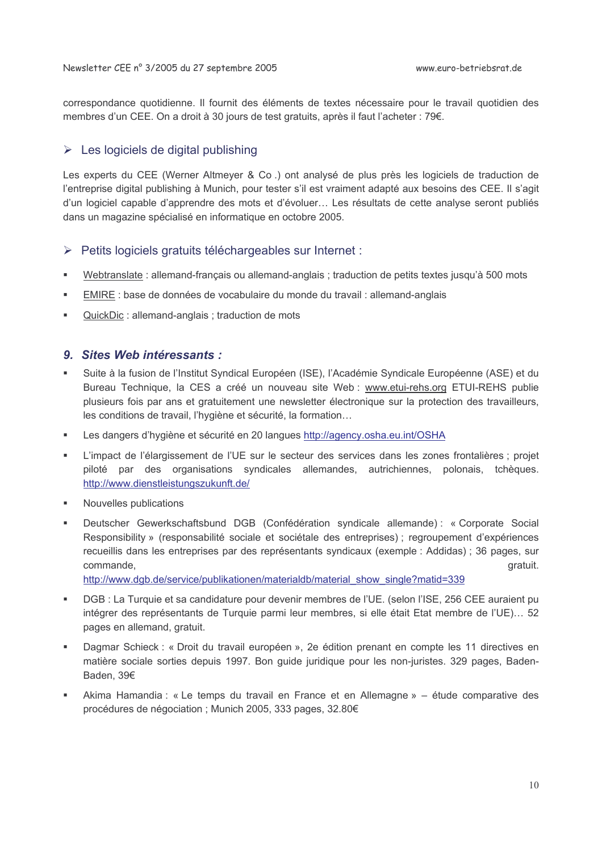correspondance quotidienne. Il fournit des éléments de textes nécessaire pour le travail quotidien des membres d'un CEE. On a droit à 30 jours de test gratuits, après il faut l'acheter : 79€.

## $\triangleright$  Les logiciels de digital publishing

Les experts du CEE (Werner Altmeyer & Co.) ont analysé de plus près les logiciels de traduction de l'entreprise digital publishing à Munich, pour tester s'il est vraiment adapté aux besoins des CEE. Il s'agit d'un logiciel capable d'apprendre des mots et d'évoluer... Les résultats de cette analyse seront publiés dans un magazine spécialisé en informatique en octobre 2005.

### > Petits logiciels gratuits téléchargeables sur Internet :

- Webtranslate : allemand-francais ou allemand-anglais : traduction de petits textes jusqu'à 500 mots  $\blacksquare$
- $\blacksquare$ EMIRE : base de données de vocabulaire du monde du travail : allemand-anglais
- QuickDic: allemand-anglais ; traduction de mots  $\blacksquare$

#### 9. Sites Web intéressants :

- Suite à la fusion de l'Institut Syndical Européen (ISE), l'Académie Syndicale Européenne (ASE) et du Bureau Technique, la CES a créé un nouveau site Web : www.etui-rehs.org ETUI-REHS publie plusieurs fois par ans et gratuitement une newsletter électronique sur la protection des travailleurs, les conditions de travail, l'hygiène et sécurité, la formation...
- Les dangers d'hygiène et sécurité en 20 langues http://agency.osha.eu.int/OSHA
- L'impact de l'élargissement de l'UE sur le secteur des services dans les zones frontalières ; projet ٠ piloté par des organisations syndicales allemandes, autrichiennes, polonais, tchèques. http://www.dienstleistungszukunft.de/
- Nouvelles publications
- Deutscher Gewerkschaftsbund DGB (Confédération syndicale allemande): « Corporate Social  $\blacksquare$ Responsibility » (responsabilité sociale et sociétale des entreprises) : regroupement d'expériences recueillis dans les entreprises par des représentants syndicaux (exemple : Addidas) ; 36 pages, sur commande. gratuit.

http://www.dgb.de/service/publikationen/materialdb/material show single?matid=339

- DGB : La Turquie et sa candidature pour devenir membres de l'UE. (selon l'ISE, 256 CEE auraient pu intégrer des représentants de Turquie parmi leur membres, si elle était Etat membre de l'UE)... 52 pages en allemand, gratuit.
- Dagmar Schieck : « Droit du travail européen », 2e édition prenant en compte les 11 directives en matière sociale sorties depuis 1997. Bon quide juridique pour les non-juristes, 329 pages, Baden-Baden, 39€
- Akima Hamandia : « Le temps du travail en France et en Allemagne » étude comparative des procédures de négociation ; Munich 2005, 333 pages, 32.80€